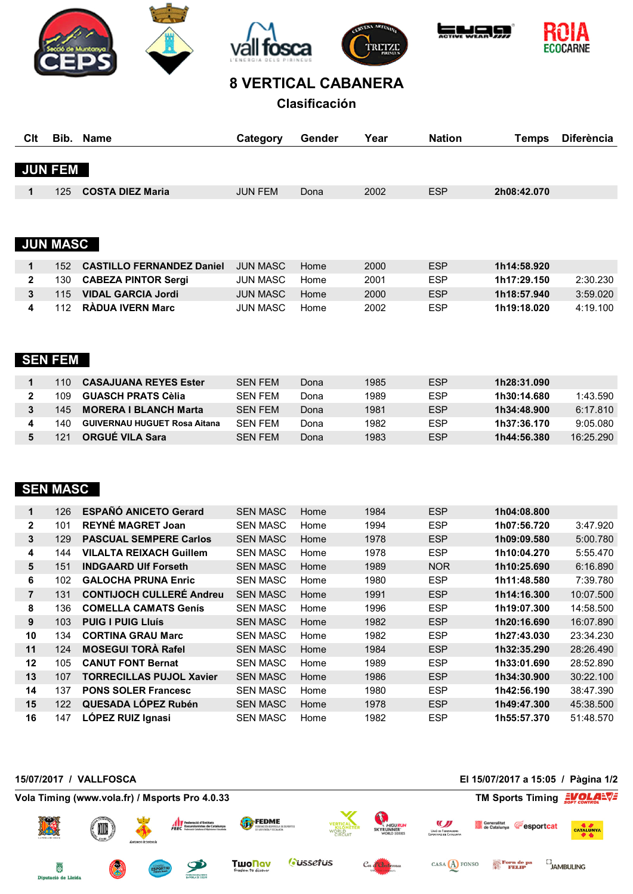









## **8 VERTICAL CABANERA**

**Clasificación**

| Clt |                 | Bib. Name                        | Category        | Gender | Year | <b>Nation</b> | Temps       | <b>Diferència</b> |
|-----|-----------------|----------------------------------|-----------------|--------|------|---------------|-------------|-------------------|
|     |                 |                                  |                 |        |      |               |             |                   |
|     | <b>JUN FEM</b>  |                                  |                 |        |      |               |             |                   |
| 1   | 125             | <b>COSTA DIEZ Maria</b>          | <b>JUN FEM</b>  | Dona   | 2002 | <b>ESP</b>    | 2h08:42.070 |                   |
|     |                 |                                  |                 |        |      |               |             |                   |
|     |                 |                                  |                 |        |      |               |             |                   |
|     | <b>JUN MASC</b> |                                  |                 |        |      |               |             |                   |
|     |                 |                                  |                 |        |      |               |             |                   |
| 1   | 152             | <b>CASTILLO FERNANDEZ Daniel</b> | <b>JUN MASC</b> | Home   | 2000 | <b>ESP</b>    | 1h14:58.920 |                   |
| 2   | 130             | <b>CABEZA PINTOR Sergi</b>       | JUN MASC        | Home   | 2001 | <b>ESP</b>    | 1h17:29.150 | 2:30.230          |

|  | $2 \times 130$ CABEZA PINTOR Sergi | JUN MASC HOME |      | 2001 | ESP.       | 1017:29.150 | 2:30.230 |
|--|------------------------------------|---------------|------|------|------------|-------------|----------|
|  | 3 115 VIDAL GARCIA Jordi           | JUN MASC Home |      | 2000 | <b>ESP</b> | 1h18:57.940 | 3:59.020 |
|  | 4 112 RADUA IVERN Marc             | JUN MASC      | Home | 2002 | <b>ESP</b> | 1h19:18.020 | 4:19.100 |

## **SEN FEM**

| 110. | <b>CASAJUANA REYES Ester</b>        | SFN FFM        | Dona | 1985 | <b>ESP</b> | 1h28:31.090 |          |
|------|-------------------------------------|----------------|------|------|------------|-------------|----------|
| 109. | <b>GUASCH PRATS Cèlia</b>           | SEN FEM        | Dona | 1989 | <b>ESP</b> | 1h30:14.680 | 1:43.590 |
| 145. | <b>MORERA I BLANCH Marta</b>        | SEN FEM        | Dona | 1981 | <b>ESP</b> | 1h34:48.900 | 6:17.810 |
| 140. | <b>GUIVERNAU HUGUET Rosa Aitana</b> | SFN FFM        | Dona | 1982 | <b>ESP</b> | 1h37:36.170 | 9:05.080 |
| 121  | <b>ORGUE VILA Sara</b>              | <b>SFN FFM</b> | Dona | 1983 | <b>ESP</b> | 1h44:56.380 | 16.25290 |

## **SEN MASC**

| 126 | <b>ESPAÑÓ ANICETO Gerard</b>    | <b>SEN MASC</b> | Home | 1984 | <b>ESP</b> | 1h04:08.800 |           |
|-----|---------------------------------|-----------------|------|------|------------|-------------|-----------|
| 101 | <b>REYNE MAGRET Joan</b>        | <b>SEN MASC</b> | Home | 1994 | <b>ESP</b> | 1h07:56.720 | 3:47.920  |
| 129 | <b>PASCUAL SEMPERE Carlos</b>   | <b>SEN MASC</b> | Home | 1978 | <b>ESP</b> | 1h09:09.580 | 5:00.780  |
| 144 | <b>VILALTA REIXACH Guillem</b>  | <b>SEN MASC</b> | Home | 1978 | <b>ESP</b> | 1h10:04.270 | 5:55.470  |
| 151 | <b>INDGAARD UIf Forseth</b>     | <b>SEN MASC</b> | Home | 1989 | <b>NOR</b> | 1h10:25.690 | 6:16.890  |
| 102 | <b>GALOCHA PRUNA Enric</b>      | <b>SEN MASC</b> | Home | 1980 | <b>ESP</b> | 1h11:48.580 | 7:39.780  |
| 131 | <b>CONTIJOCH CULLERE Andreu</b> | <b>SEN MASC</b> | Home | 1991 | <b>ESP</b> | 1h14:16.300 | 10:07.500 |
| 136 | <b>COMELLA CAMATS Genis</b>     | <b>SEN MASC</b> | Home | 1996 | <b>ESP</b> | 1h19:07.300 | 14:58.500 |
| 103 | <b>PUIG I PUIG LIUÍS</b>        | <b>SEN MASC</b> | Home | 1982 | <b>ESP</b> | 1h20:16.690 | 16:07.890 |
| 134 | <b>CORTINA GRAU Marc</b>        | <b>SEN MASC</b> | Home | 1982 | <b>ESP</b> | 1h27:43.030 | 23:34.230 |
| 124 | <b>MOSEGUI TORA Rafel</b>       | <b>SEN MASC</b> | Home | 1984 | <b>ESP</b> | 1h32:35.290 | 28:26.490 |
| 105 | <b>CANUT FONT Bernat</b>        | <b>SEN MASC</b> | Home | 1989 | <b>ESP</b> | 1h33:01.690 | 28:52.890 |
| 107 | <b>TORRECILLAS PUJOL Xavier</b> | <b>SEN MASC</b> | Home | 1986 | <b>ESP</b> | 1h34:30.900 | 30:22.100 |
| 137 | <b>PONS SOLER Francesc</b>      | <b>SEN MASC</b> | Home | 1980 | <b>ESP</b> | 1h42:56.190 | 38:47.390 |
| 122 | QUESADA LÓPEZ Rubén             | <b>SEN MASC</b> | Home | 1978 | <b>ESP</b> | 1h49:47.300 | 45:38.500 |
| 147 | LÓPEZ RUIZ Ignasi               | <b>SEN MASC</b> | Home | 1982 | <b>ESP</b> | 1h55:57.370 | 51:48.570 |
|     |                                 |                 |      |      |            |             |           |